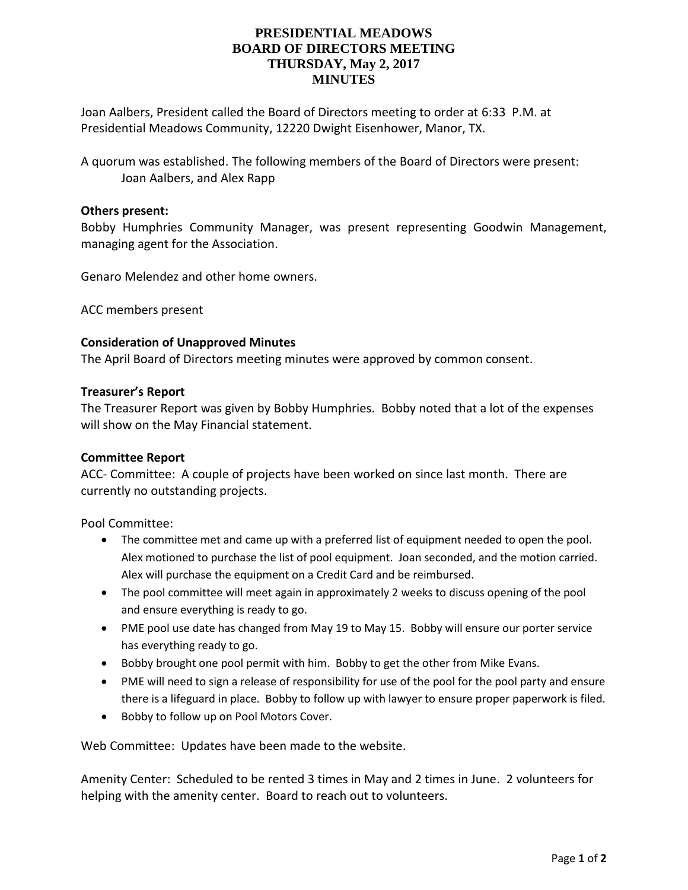# **PRESIDENTIAL MEADOWS BOARD OF DIRECTORS MEETING THURSDAY, May 2, 2017 MINUTES**

Joan Aalbers, President called the Board of Directors meeting to order at 6:33 P.M. at Presidential Meadows Community, 12220 Dwight Eisenhower, Manor, TX.

A quorum was established. The following members of the Board of Directors were present: Joan Aalbers, and Alex Rapp

# **Others present:**

Bobby Humphries Community Manager, was present representing Goodwin Management, managing agent for the Association.

Genaro Melendez and other home owners.

ACC members present

# **Consideration of Unapproved Minutes**

The April Board of Directors meeting minutes were approved by common consent.

# **Treasurer's Report**

The Treasurer Report was given by Bobby Humphries. Bobby noted that a lot of the expenses will show on the May Financial statement.

## **Committee Report**

ACC- Committee: A couple of projects have been worked on since last month. There are currently no outstanding projects.

Pool Committee:

- The committee met and came up with a preferred list of equipment needed to open the pool. Alex motioned to purchase the list of pool equipment. Joan seconded, and the motion carried. Alex will purchase the equipment on a Credit Card and be reimbursed.
- The pool committee will meet again in approximately 2 weeks to discuss opening of the pool and ensure everything is ready to go.
- PME pool use date has changed from May 19 to May 15. Bobby will ensure our porter service has everything ready to go.
- Bobby brought one pool permit with him. Bobby to get the other from Mike Evans.
- PME will need to sign a release of responsibility for use of the pool for the pool party and ensure there is a lifeguard in place. Bobby to follow up with lawyer to ensure proper paperwork is filed.
- Bobby to follow up on Pool Motors Cover.

Web Committee: Updates have been made to the website.

Amenity Center: Scheduled to be rented 3 times in May and 2 times in June. 2 volunteers for helping with the amenity center. Board to reach out to volunteers.